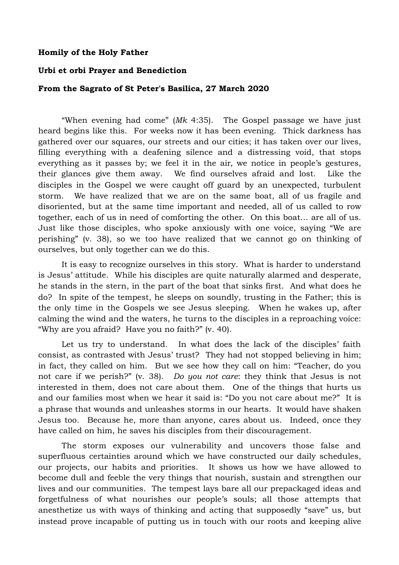## **Homily of the Holy Father**

## **Urbi et orbi Prayer and Benediction**

## **From the Sagrato of St Peter's Basilica, 27 March 2020**

"When evening had come" (*Mk* 4:35). The Gospel passage we have just heard begins like this. For weeks now it has been evening. Thick darkness has gathered over our squares, our streets and our cities; it has taken over our lives, filling everything with a deafening silence and a distressing void, that stops everything as it passes by; we feel it in the air, we notice in people's gestures, their glances give them away. We find ourselves afraid and lost. Like the disciples in the Gospel we were caught off guard by an unexpected, turbulent storm. We have realized that we are on the same boat, all of us fragile and disoriented, but at the same time important and needed, all of us called to row together, each of us in need of comforting the other. On this boat… are all of us. Just like those disciples, who spoke anxiously with one voice, saying "We are perishing" (v. 38), so we too have realized that we cannot go on thinking of ourselves, but only together can we do this.

It is easy to recognize ourselves in this story. What is harder to understand is Jesus' attitude. While his disciples are quite naturally alarmed and desperate, he stands in the stern, in the part of the boat that sinks first. And what does he do? In spite of the tempest, he sleeps on soundly, trusting in the Father; this is the only time in the Gospels we see Jesus sleeping. When he wakes up, after calming the wind and the waters, he turns to the disciples in a reproaching voice: "Why are you afraid? Have you no faith?" (v. 40).

Let us try to understand. In what does the lack of the disciples' faith consist, as contrasted with Jesus' trust? They had not stopped believing in him; in fact, they called on him. But we see how they call on him: "Teacher, do you not care if we perish?" (v. 38). *Do you not care*: they think that Jesus is not interested in them, does not care about them. One of the things that hurts us and our families most when we hear it said is: "Do you not care about me?" It is a phrase that wounds and unleashes storms in our hearts. It would have shaken Jesus too. Because he, more than anyone, cares about us. Indeed, once they have called on him, he saves his disciples from their discouragement.

The storm exposes our vulnerability and uncovers those false and superfluous certainties around which we have constructed our daily schedules, our projects, our habits and priorities. It shows us how we have allowed to become dull and feeble the very things that nourish, sustain and strengthen our lives and our communities. The tempest lays bare all our prepackaged ideas and forgetfulness of what nourishes our people's souls; all those attempts that anesthetize us with ways of thinking and acting that supposedly "save" us, but instead prove incapable of putting us in touch with our roots and keeping alive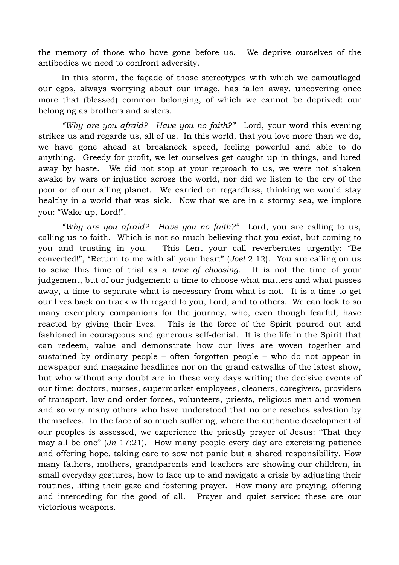the memory of those who have gone before us. We deprive ourselves of the antibodies we need to confront adversity.

In this storm, the façade of those stereotypes with which we camouflaged our egos, always worrying about our image, has fallen away, uncovering once more that (blessed) common belonging, of which we cannot be deprived: our belonging as brothers and sisters.

*"Why are you afraid? Have you no faith?"* Lord, your word this evening strikes us and regards us, all of us. In this world, that you love more than we do, we have gone ahead at breakneck speed, feeling powerful and able to do anything. Greedy for profit, we let ourselves get caught up in things, and lured away by haste. We did not stop at your reproach to us, we were not shaken awake by wars or injustice across the world, nor did we listen to the cry of the poor or of our ailing planet. We carried on regardless, thinking we would stay healthy in a world that was sick. Now that we are in a stormy sea, we implore you: "Wake up, Lord!".

*"Why are you afraid? Have you no faith?"* Lord, you are calling to us, calling us to faith. Which is not so much believing that you exist, but coming to you and trusting in you. This Lent your call reverberates urgently: "Be converted!", "Return to me with all your heart" (*Joel* 2:12). You are calling on us to seize this time of trial as a *time of choosing*. It is not the time of your judgement, but of our judgement: a time to choose what matters and what passes away, a time to separate what is necessary from what is not. It is a time to get our lives back on track with regard to you, Lord, and to others. We can look to so many exemplary companions for the journey, who, even though fearful, have reacted by giving their lives. This is the force of the Spirit poured out and fashioned in courageous and generous self-denial. It is the life in the Spirit that can redeem, value and demonstrate how our lives are woven together and sustained by ordinary people – often forgotten people – who do not appear in newspaper and magazine headlines nor on the grand catwalks of the latest show, but who without any doubt are in these very days writing the decisive events of our time: doctors, nurses, supermarket employees, cleaners, caregivers, providers of transport, law and order forces, volunteers, priests, religious men and women and so very many others who have understood that no one reaches salvation by themselves. In the face of so much suffering, where the authentic development of our peoples is assessed, we experience the priestly prayer of Jesus: "That they may all be one" (*Jn* 17:21). How many people every day are exercising patience and offering hope, taking care to sow not panic but a shared responsibility. How many fathers, mothers, grandparents and teachers are showing our children, in small everyday gestures, how to face up to and navigate a crisis by adjusting their routines, lifting their gaze and fostering prayer. How many are praying, offering and interceding for the good of all. Prayer and quiet service: these are our victorious weapons.